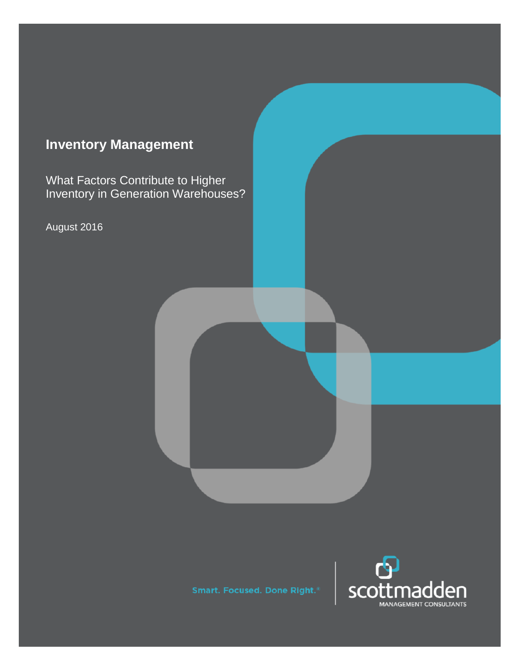# **Inventory Management**

What Factors Contribute to Higher Inventory in Generation Warehouses?

August 2016

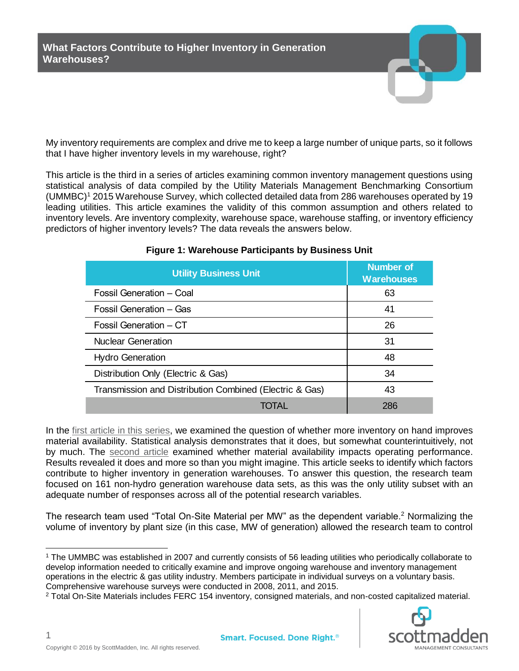My inventory requirements are complex and drive me to keep a large number of unique parts, so it follows that I have higher inventory levels in my warehouse, right?

This article is the third in a series of articles examining common inventory management questions using statistical analysis of data compiled by the Utility Materials Management Benchmarking Consortium (UMMBC)<sup>1</sup> 2015 Warehouse Survey, which collected detailed data from 286 warehouses operated by 19 leading utilities. This article examines the validity of this common assumption and others related to inventory levels. Are inventory complexity, warehouse space, warehouse staffing, or inventory efficiency predictors of higher inventory levels? The data reveals the answers below.

| <b>Utility Business Unit</b>                            | <b>Number of</b><br><b>Warehouses</b> |  |  |
|---------------------------------------------------------|---------------------------------------|--|--|
| Fossil Generation - Coal                                | 63                                    |  |  |
| Fossil Generation - Gas                                 | 41                                    |  |  |
| Fossil Generation – CT                                  | 26                                    |  |  |
| <b>Nuclear Generation</b>                               | 31                                    |  |  |
| <b>Hydro Generation</b>                                 | 48                                    |  |  |
| Distribution Only (Electric & Gas)                      | 34                                    |  |  |
| Transmission and Distribution Combined (Electric & Gas) | 43                                    |  |  |
|                                                         | 286                                   |  |  |

# **Figure 1: Warehouse Participants by Business Unit**

In the [first article](http://www.scottmadden.com/insight/inventory-versus-material-availability/) in this series, we examined the question of whether more inventory on hand improves material availability. Statistical analysis demonstrates that it does, but somewhat counterintuitively, not by much. The [second article](http://www.scottmadden.com/insight/inventory-management-do-inventory-stockout-rates-impact-operating-performance/) examined whether material availability impacts operating performance. Results revealed it does and more so than you might imagine. This article seeks to identify which factors contribute to higher inventory in generation warehouses. To answer this question, the research team focused on 161 non-hydro generation warehouse data sets, as this was the only utility subset with an adequate number of responses across all of the potential research variables.

The research team used "Total On-Site Material per MW" as the dependent variable.<sup>2</sup> Normalizing the volume of inventory by plant size (in this case, MW of generation) allowed the research team to control

<sup>2</sup> Total On-Site Materials includes FERC 154 inventory, consigned materials, and non-costed capitalized material.



1

 $\overline{a}$ 

<sup>1</sup> The UMMBC was established in 2007 and currently consists of 56 leading utilities who periodically collaborate to develop information needed to critically examine and improve ongoing warehouse and inventory management operations in the electric & gas utility industry. Members participate in individual surveys on a voluntary basis. Comprehensive warehouse surveys were conducted in 2008, 2011, and 2015.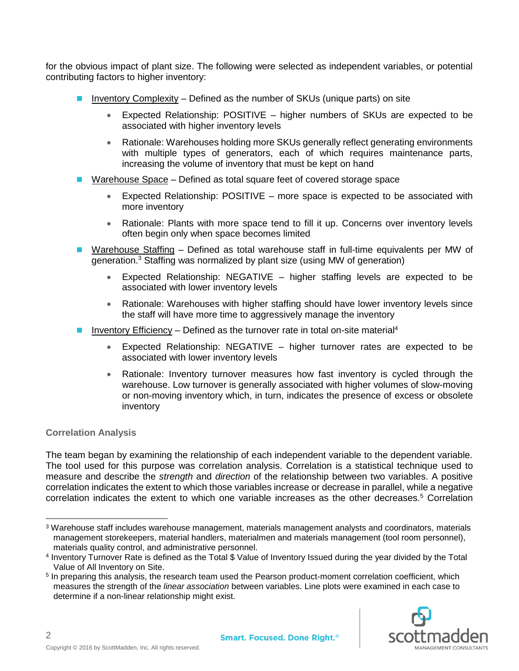for the obvious impact of plant size. The following were selected as independent variables, or potential contributing factors to higher inventory:

- $\blacksquare$  Inventory Complexity Defined as the number of SKUs (unique parts) on site
	- Expected Relationship: POSITIVE higher numbers of SKUs are expected to be associated with higher inventory levels
	- Rationale: Warehouses holding more SKUs generally reflect generating environments with multiple types of generators, each of which requires maintenance parts, increasing the volume of inventory that must be kept on hand
- Warehouse Space Defined as total square feet of covered storage space
	- Expected Relationship: POSITIVE more space is expected to be associated with more inventory
	- Rationale: Plants with more space tend to fill it up. Concerns over inventory levels often begin only when space becomes limited
- Warehouse Staffing Defined as total warehouse staff in full-time equivalents per MW of generation.<sup>3</sup> Staffing was normalized by plant size (using MW of generation)
	- Expected Relationship: NEGATIVE higher staffing levels are expected to be associated with lower inventory levels
	- Rationale: Warehouses with higher staffing should have lower inventory levels since the staff will have more time to aggressively manage the inventory
- **■** Inventory Efficiency Defined as the turnover rate in total on-site material<sup>4</sup>
	- Expected Relationship: NEGATIVE higher turnover rates are expected to be associated with lower inventory levels
	- Rationale: Inventory turnover measures how fast inventory is cycled through the warehouse. Low turnover is generally associated with higher volumes of slow-moving or non-moving inventory which, in turn, indicates the presence of excess or obsolete inventory

# **Correlation Analysis**

The team began by examining the relationship of each independent variable to the dependent variable. The tool used for this purpose was correlation analysis. Correlation is a statistical technique used to measure and describe the *strength* and *direction* of the relationship between two variables. A positive correlation indicates the extent to which those variables increase or decrease in parallel, while a negative correlation indicates the extent to which one variable increases as the other decreases.<sup>5</sup> Correlation

<sup>&</sup>lt;sup>5</sup> In preparing this analysis, the research team used the Pearson product-moment correlation coefficient, which measures the strength of the *linear association* between variables. Line plots were examined in each case to determine if a non-linear relationship might exist.



2

<sup>3</sup> Warehouse staff includes warehouse management, materials management analysts and coordinators, materials management storekeepers, material handlers, materialmen and materials management (tool room personnel), materials quality control, and administrative personnel.

<sup>4</sup> Inventory Turnover Rate is defined as the Total \$ Value of Inventory Issued during the year divided by the Total Value of All Inventory on Site.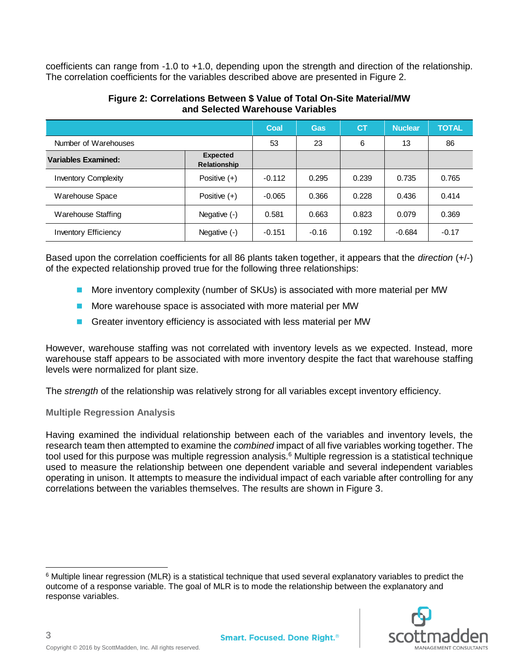coefficients can range from -1.0 to +1.0, depending upon the strength and direction of the relationship. The correlation coefficients for the variables described above are presented in Figure 2.

|                             |                                        | Coal     | <b>Gas</b> | <b>CT</b> | <b>Nuclear</b> | <b>TOTAL</b> |
|-----------------------------|----------------------------------------|----------|------------|-----------|----------------|--------------|
| Number of Warehouses        |                                        | 53       | 23         | 6         | 13             | 86           |
| <b>Variables Examined:</b>  | <b>Expected</b><br><b>Relationship</b> |          |            |           |                |              |
| <b>Inventory Complexity</b> | Positive $(+)$                         | $-0.112$ | 0.295      | 0.239     | 0.735          | 0.765        |
| Warehouse Space             | Positive $(+)$                         | $-0.065$ | 0.366      | 0.228     | 0.436          | 0.414        |
| Warehouse Staffing          | Negative $(-)$                         | 0.581    | 0.663      | 0.823     | 0.079          | 0.369        |
| <b>Inventory Efficiency</b> | Negative $(-)$                         | $-0.151$ | $-0.16$    | 0.192     | $-0.684$       | $-0.17$      |

#### **Figure 2: Correlations Between \$ Value of Total On-Site Material/MW and Selected Warehouse Variables**

Based upon the correlation coefficients for all 86 plants taken together, it appears that the *direction* (+/-) of the expected relationship proved true for the following three relationships:

- More inventory complexity (number of SKUs) is associated with more material per MW
- More warehouse space is associated with more material per MW
- Greater inventory efficiency is associated with less material per MW

However, warehouse staffing was not correlated with inventory levels as we expected. Instead, more warehouse staff appears to be associated with more inventory despite the fact that warehouse staffing levels were normalized for plant size.

The *strength* of the relationship was relatively strong for all variables except inventory efficiency.

# **Multiple Regression Analysis**

Having examined the individual relationship between each of the variables and inventory levels, the research team then attempted to examine the *combined* impact of all five variables working together. The tool used for this purpose was multiple regression analysis.<sup>6</sup> Multiple regression is a statistical technique used to measure the relationship between one dependent variable and several independent variables operating in unison. It attempts to measure the individual impact of each variable after controlling for any correlations between the variables themselves. The results are shown in Figure 3.

 <sup>6</sup> Multiple linear regression (MLR) is a statistical technique that used several explanatory variables to predict the outcome of a response variable. The goal of MLR is to mode the relationship between the explanatory and response variables.

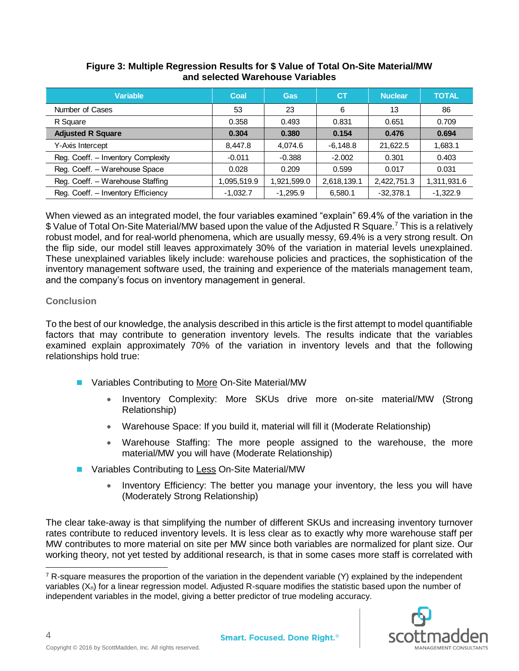| Variable                           | Coal       | Gas         | IСТ         | <b>Nuclear</b> | <b>TOTAL</b> |
|------------------------------------|------------|-------------|-------------|----------------|--------------|
| Number of Cases                    | 53         | 23          | 6           | 13             | 86           |
| R Square                           | 0.358      | 0.493       | 0.831       | 0.651          | 0.709        |
| <b>Adjusted R Square</b>           | 0.304      | 0.380       | 0.154       | 0.476          | 0.694        |
| Y-Axis Intercept                   | 8.447.8    | 4.074.6     | $-6.148.8$  | 21.622.5       | 1,683.1      |
| Reg. Coeff. - Inventory Complexity | $-0.011$   | $-0.388$    | $-2.002$    | 0.301          | 0.403        |
| Reg. Coeff. - Warehouse Space      | 0.028      | 0.209       | 0.599       | 0.017          | 0.031        |
| Reg. Coeff. - Warehouse Staffing   | ,095,519.9 | 1,921,599.0 | 2,618,139.1 | 2,422,751.3    | 1,311,931.6  |
| Reg. Coeff. - Inventory Efficiency | $-1,032.7$ | $-1,295.9$  | 6,580.1     | $-32,378.1$    | $-1,322.9$   |

# **Figure 3: Multiple Regression Results for \$ Value of Total On-Site Material/MW and selected Warehouse Variables**

When viewed as an integrated model, the four variables examined "explain" 69.4% of the variation in the \$ Value of Total On-Site Material/MW based upon the value of the Adjusted R Square.<sup>7</sup> This is a relatively robust model, and for real-world phenomena, which are usually messy, 69.4% is a very strong result. On the flip side, our model still leaves approximately 30% of the variation in material levels unexplained. These unexplained variables likely include: warehouse policies and practices, the sophistication of the inventory management software used, the training and experience of the materials management team, and the company's focus on inventory management in general.

# **Conclusion**

To the best of our knowledge, the analysis described in this article is the first attempt to model quantifiable factors that may contribute to generation inventory levels. The results indicate that the variables examined explain approximately 70% of the variation in inventory levels and that the following relationships hold true:

- Variables Contributing to More On-Site Material/MW
	- Inventory Complexity: More SKUs drive more on-site material/MW (Strong Relationship)
	- Warehouse Space: If you build it, material will fill it (Moderate Relationship)
	- Warehouse Staffing: The more people assigned to the warehouse, the more material/MW you will have (Moderate Relationship)
- Variables Contributing to Less On-Site Material/MW
	- Inventory Efficiency: The better you manage your inventory, the less you will have (Moderately Strong Relationship)

The clear take-away is that simplifying the number of different SKUs and increasing inventory turnover rates contribute to reduced inventory levels. It is less clear as to exactly why more warehouse staff per MW contributes to more material on site per MW since both variables are normalized for plant size. Our working theory, not yet tested by additional research, is that in some cases more staff is correlated with

  $7$  R-square measures the proportion of the variation in the dependent variable (Y) explained by the independent variables (X<sub>n</sub>) for a linear regression model. Adjusted R-square modifies the statistic based upon the number of independent variables in the model, giving a better predictor of true modeling accuracy.